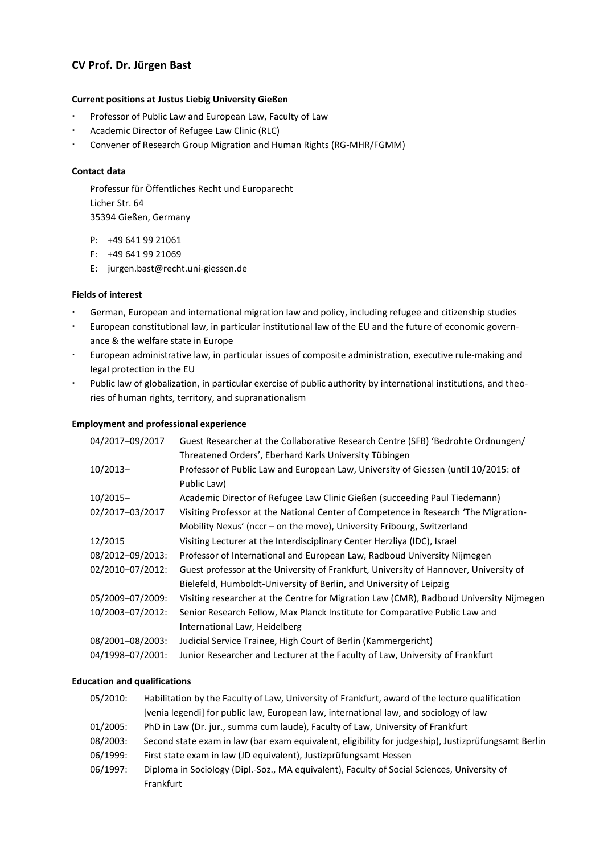# **CV Prof. Dr. Jürgen Bast**

### **Current positions at Justus Liebig University Gießen**

- Professor of Public Law and European Law, Faculty of Law
- Academic Director of Refugee Law Clinic (RLC)
- Convener of Research Group Migration and Human Rights (RG-MHR/FGMM)

### **Contact data**

Professur für Öffentliches Recht und Europarecht Licher Str. 64 35394 Gießen, Germany

- P: +49 641 99 21061
- F: +49 641 99 21069
- E: jurgen.bast@recht.uni-giessen.de

### **Fields of interest**

- German, European and international migration law and policy, including refugee and citizenship studies
- European constitutional law, in particular institutional law of the EU and the future of economic governance & the welfare state in Europe
- European administrative law, in particular issues of composite administration, executive rule-making and legal protection in the EU
- Public law of globalization, in particular exercise of public authority by international institutions, and theories of human rights, territory, and supranationalism

### **Employment and professional experience**

| 04/2017-09/2017  | Guest Researcher at the Collaborative Research Centre (SFB) 'Bedrohte Ordnungen/       |
|------------------|----------------------------------------------------------------------------------------|
|                  | Threatened Orders', Eberhard Karls University Tübingen                                 |
| $10/2013-$       | Professor of Public Law and European Law, University of Giessen (until 10/2015: of     |
|                  | Public Law)                                                                            |
| $10/2015-$       | Academic Director of Refugee Law Clinic Gießen (succeeding Paul Tiedemann)             |
| 02/2017-03/2017  | Visiting Professor at the National Center of Competence in Research 'The Migration-    |
|                  | Mobility Nexus' (nccr - on the move), University Fribourg, Switzerland                 |
| 12/2015          | Visiting Lecturer at the Interdisciplinary Center Herzliya (IDC), Israel               |
| 08/2012-09/2013: | Professor of International and European Law, Radboud University Nijmegen               |
| 02/2010-07/2012: | Guest professor at the University of Frankfurt, University of Hannover, University of  |
|                  | Bielefeld, Humboldt-University of Berlin, and University of Leipzig                    |
| 05/2009-07/2009: | Visiting researcher at the Centre for Migration Law (CMR), Radboud University Nijmegen |
| 10/2003-07/2012: | Senior Research Fellow, Max Planck Institute for Comparative Public Law and            |
|                  | International Law, Heidelberg                                                          |
| 08/2001-08/2003: | Judicial Service Trainee, High Court of Berlin (Kammergericht)                         |
| 04/1998-07/2001: | Junior Researcher and Lecturer at the Faculty of Law, University of Frankfurt          |
|                  |                                                                                        |

#### **Education and qualifications**

| 05/2010:    | Habilitation by the Faculty of Law, University of Frankfurt, award of the lecture qualification     |
|-------------|-----------------------------------------------------------------------------------------------------|
|             | [venia legendi] for public law, European law, international law, and sociology of law               |
| $01/2005$ : | PhD in Law (Dr. jur., summa cum laude), Faculty of Law, University of Frankfurt                     |
| 08/2003:    | Second state exam in law (bar exam equivalent, eligibility for judgeship), Justizprüfungsamt Berlin |
| 06/1999:    | First state exam in law (JD equivalent), Justizprüfungsamt Hessen                                   |
| 06/1997:    | Diploma in Sociology (Dipl.-Soz., MA equivalent), Faculty of Social Sciences, University of         |
|             | Frankfurt                                                                                           |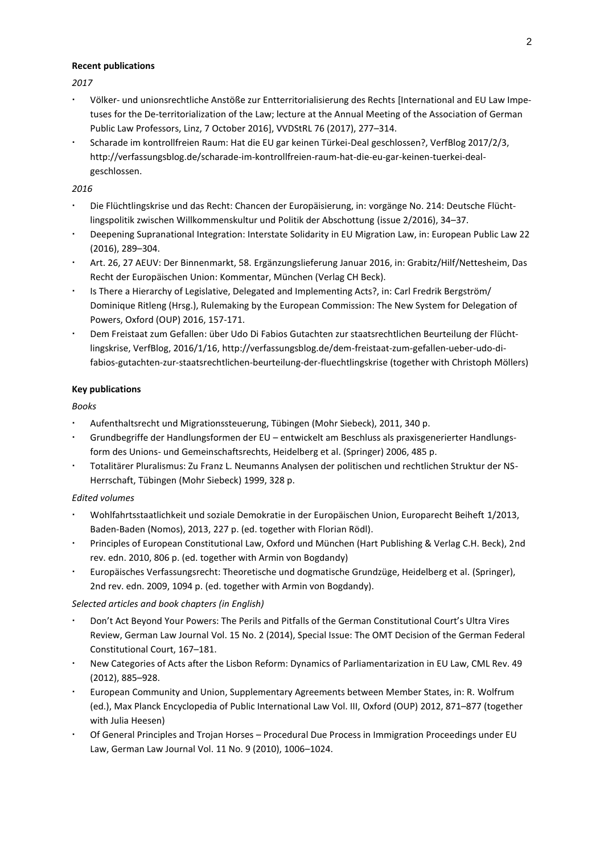#### **Recent publications**

*2017*

- Völker- und unionsrechtliche Anstöße zur Entterritorialisierung des Rechts [International and EU Law Impetuses for the De-territorialization of the Law; lecture at the Annual Meeting of the Association of German Public Law Professors, Linz, 7 October 2016], VVDStRL 76 (2017), 277–314.
- Scharade im kontrollfreien Raum: Hat die EU gar keinen Türkei-Deal geschlossen?, VerfBlog 2017/2/3, http://verfassungsblog.de/scharade-im-kontrollfreien-raum-hat-die-eu-gar-keinen-tuerkei-dealgeschlossen.

#### *2016*

- Die Flüchtlingskrise und das Recht: Chancen der Europäisierung, in: vorgänge No. 214: Deutsche Flüchtlingspolitik zwischen Willkommenskultur und Politik der Abschottung (issue 2/2016), 34–37.
- Deepening Supranational Integration: Interstate Solidarity in EU Migration Law, in: European Public Law 22 (2016), 289–304.
- Art. 26, 27 AEUV: Der Binnenmarkt, 58. Ergänzungslieferung Januar 2016, in: Grabitz/Hilf/Nettesheim, Das Recht der Europäischen Union: Kommentar, München (Verlag CH Beck).
- Is There a Hierarchy of Legislative, Delegated and Implementing Acts?, in: Carl Fredrik Bergström/ Dominique Ritleng (Hrsg.), Rulemaking by the European Commission: The New System for Delegation of Powers, Oxford (OUP) 2016, 157-171.
- Dem Freistaat zum Gefallen: über Udo Di Fabios Gutachten zur staatsrechtlichen Beurteilung der Flüchtlingskrise, VerfBlog, 2016/1/16, [http://verfassungsblog.de/dem-freistaat-zum-gefallen-ueber-udo-di](http://verfassungsblog.de/dem-freistaat-zum-gefallen-ueber-udo-di-fabios-gutachten-zur-staatsrechtlichen-beurteilung-der-fluechtlingskrise/)[fabios-gutachten-zur-staatsrechtlichen-beurteilung-der-fluechtlingskrise](http://verfassungsblog.de/dem-freistaat-zum-gefallen-ueber-udo-di-fabios-gutachten-zur-staatsrechtlichen-beurteilung-der-fluechtlingskrise/) (together with Christoph Möllers)

### **Key publications**

*Books*

- Aufenthaltsrecht und Migrationssteuerung, Tübingen (Mohr Siebeck), 2011, 340 p.
- Grundbegriffe der Handlungsformen der EU entwickelt am Beschluss als praxisgenerierter Handlungsform des Unions- und Gemeinschaftsrechts, Heidelberg et al. (Springer) 2006, 485 p.
- Totalitärer Pluralismus: Zu Franz L. Neumanns Analysen der politischen und rechtlichen Struktur der NS-Herrschaft, Tübingen (Mohr Siebeck) 1999, 328 p.

#### *Edited volumes*

- Wohlfahrtsstaatlichkeit und soziale Demokratie in der Europäischen Union, Europarecht Beiheft 1/2013, Baden-Baden (Nomos), 2013, 227 p. (ed. together with Florian Rödl).
- Principles of European Constitutional Law, Oxford und München (Hart Publishing & Verlag C.H. Beck), 2nd rev. edn. 2010, 806 p. (ed. together with Armin von Bogdandy)
- Europäisches Verfassungsrecht: Theoretische und dogmatische Grundzüge, Heidelberg et al. (Springer), 2nd rev. edn. 2009, 1094 p. (ed. together with Armin von Bogdandy).

## *Selected articles and book chapters (in English)*

- Don't Act Beyond Your Powers: The Perils and Pitfalls of the German Constitutional Court's Ultra Vires Review, German Law Journal Vol. 15 No. 2 (2014), Special Issue: The OMT Decision of the German Federal Constitutional Court, 167–181.
- New Categories of Acts after the Lisbon Reform: Dynamics of Parliamentarization in EU Law, CML Rev. 49 (2012), 885–928.
- European Community and Union, Supplementary Agreements between Member States, in: R. Wolfrum (ed.), Max Planck Encyclopedia of Public International Law Vol. III, Oxford (OUP) 2012, 871–877 (together with Julia Heesen)
- Of General Principles and Trojan Horses Procedural Due Process in Immigration Proceedings under EU Law, German Law Journal Vol. 11 No. 9 (2010), 1006–1024.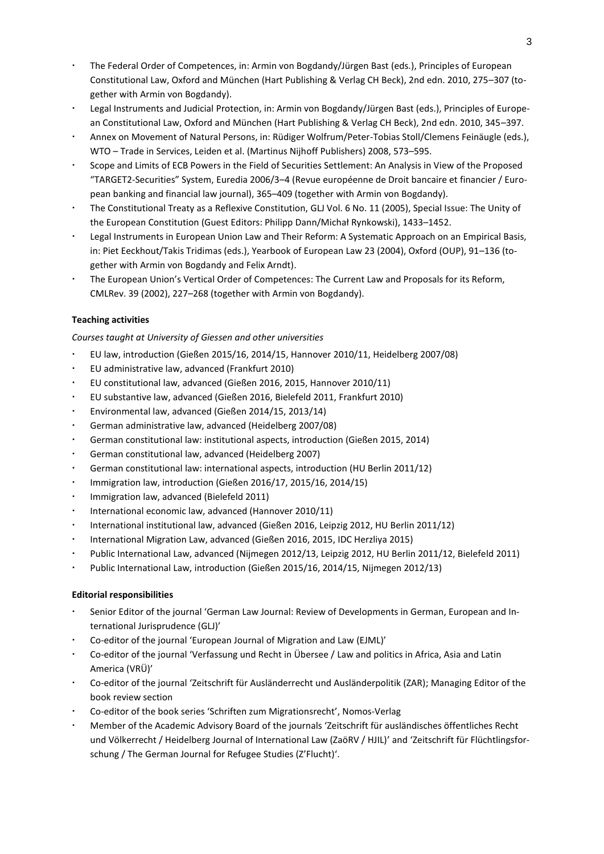- The Federal Order of Competences, in: Armin von Bogdandy/Jürgen Bast (eds.), Principles of European Constitutional Law, Oxford and München (Hart Publishing & Verlag CH Beck), 2nd edn. 2010, 275–307 (together with Armin von Bogdandy).
- Legal Instruments and Judicial Protection, in: Armin von Bogdandy/Jürgen Bast (eds.), Principles of European Constitutional Law, Oxford and München (Hart Publishing & Verlag CH Beck), 2nd edn. 2010, 345–397.
- Annex on Movement of Natural Persons, in: Rüdiger Wolfrum/Peter-Tobias Stoll/Clemens Feinäugle (eds.), WTO – Trade in Services, Leiden et al. (Martinus Nijhoff Publishers) 2008, 573–595.
- Scope and Limits of ECB Powers in the Field of Securities Settlement: An Analysis in View of the Proposed "TARGET2-Securities" System, Euredia 2006/3–4 (Revue européenne de Droit bancaire et financier / European banking and financial law journal), 365–409 (together with Armin von Bogdandy).
- The Constitutional Treaty as a Reflexive Constitution, GLJ Vol. 6 No. 11 (2005), Special Issue: The Unity of the European Constitution (Guest Editors: Philipp Dann/Michał Rynkowski), 1433–1452.
- Legal Instruments in European Union Law and Their Reform: A Systematic Approach on an Empirical Basis, in: Piet Eeckhout/Takis Tridimas (eds.), Yearbook of European Law 23 (2004), Oxford (OUP), 91–136 (together with Armin von Bogdandy and Felix Arndt).
- The European Union's Vertical Order of Competences: The Current Law and Proposals for its Reform, CMLRev. 39 (2002), 227–268 (together with Armin von Bogdandy).

## **Teaching activities**

*Courses taught at University of Giessen and other universities*

- EU law, introduction (Gießen 2015/16, 2014/15, Hannover 2010/11, Heidelberg 2007/08)
- EU administrative law, advanced (Frankfurt 2010)
- EU constitutional law, advanced (Gießen 2016, 2015, Hannover 2010/11)
- EU substantive law, advanced (Gießen 2016, Bielefeld 2011, Frankfurt 2010)
- Environmental law, advanced (Gießen 2014/15, 2013/14)
- German administrative law, advanced (Heidelberg 2007/08)
- German constitutional law: institutional aspects, introduction (Gießen 2015, 2014)
- German constitutional law, advanced (Heidelberg 2007)
- German constitutional law: international aspects, introduction (HU Berlin 2011/12)
- Immigration law, introduction (Gießen 2016/17, 2015/16, 2014/15)
- Immigration law, advanced (Bielefeld 2011)
- International economic law, advanced (Hannover 2010/11)
- International institutional law, advanced (Gießen 2016, Leipzig 2012, HU Berlin 2011/12)
- International Migration Law, advanced (Gießen 2016, 2015, IDC Herzliya 2015)
- Public International Law, advanced (Nijmegen 2012/13, Leipzig 2012, HU Berlin 2011/12, Bielefeld 2011)
- Public International Law, introduction (Gießen 2015/16, 2014/15, Nijmegen 2012/13)

#### **Editorial responsibilities**

- Senior Editor of the journal 'German Law Journal: Review of Developments in German, European and International Jurisprudence (GLJ)'
- Co-editor of the journal 'European Journal of Migration and Law (EJML)'
- Co-editor of the journal 'Verfassung und Recht in Übersee / Law and politics in Africa, Asia and Latin America (VRÜ)'
- Co-editor of the journal 'Zeitschrift für Ausländerrecht und Ausländerpolitik (ZAR); Managing Editor of the book review section
- Co-editor of the book series 'Schriften zum Migrationsrecht', Nomos-Verlag
- Member of the Academic Advisory Board of the journals 'Zeitschrift für ausländisches öffentliches Recht und Völkerrecht / Heidelberg Journal of International Law (ZaöRV / HJIL)' and 'Zeitschrift für Flüchtlingsforschung / The German Journal for Refugee Studies (Z'Flucht)'.